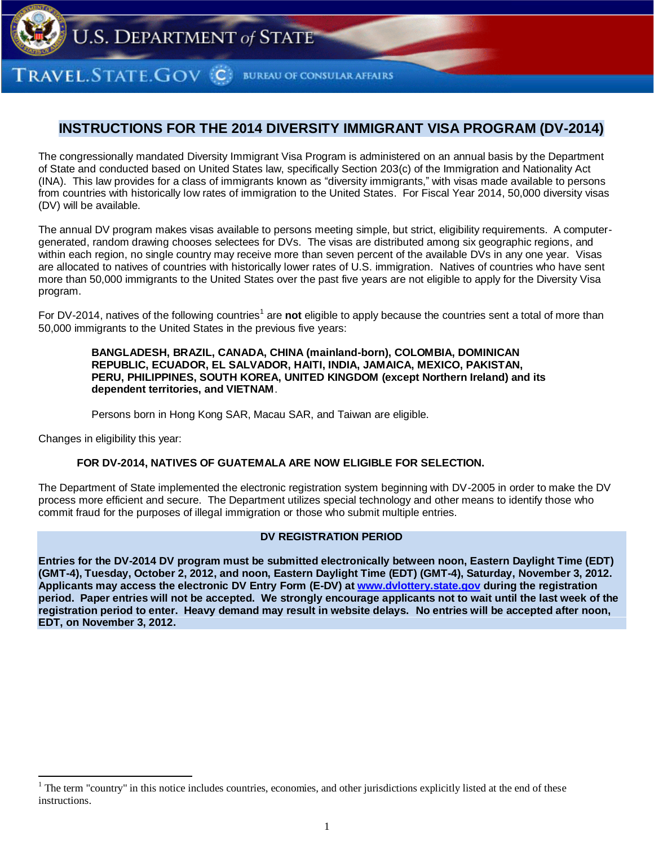

RAVEL.STATE.GOV C **BUREAU OF CONSULAR AFFAIRS** 

# **INSTRUCTIONS FOR THE 2014 DIVERSITY IMMIGRANT VISA PROGRAM (DV-2014)**

The congressionally mandated Diversity Immigrant Visa Program is administered on an annual basis by the Department of State and conducted based on United States law, specifically Section 203(c) of the Immigration and Nationality Act (INA). This law provides for a class of immigrants known as "diversity immigrants," with visas made available to persons from countries with historically low rates of immigration to the United States. For Fiscal Year 2014, 50,000 diversity visas (DV) will be available.

The annual DV program makes visas available to persons meeting simple, but strict, eligibility requirements. A computergenerated, random drawing chooses selectees for DVs. The visas are distributed among six geographic regions, and within each region, no single country may receive more than seven percent of the available DVs in any one year. Visas are allocated to natives of countries with historically lower rates of U.S. immigration. Natives of countries who have sent more than 50,000 immigrants to the United States over the past five years are not eligible to apply for the Diversity Visa program.

For DV-2014, natives of the following countries<sup>1</sup> are not eligible to apply because the countries sent a total of more than 50,000 immigrants to the United States in the previous five years:

#### **BANGLADESH, BRAZIL, CANADA, CHINA (mainland-born), COLOMBIA, DOMINICAN REPUBLIC, ECUADOR, EL SALVADOR, HAITI, INDIA, JAMAICA, MEXICO, PAKISTAN, PERU, PHILIPPINES, SOUTH KOREA, UNITED KINGDOM (except Northern Ireland) and its dependent territories, and VIETNAM**.

Persons born in Hong Kong SAR, Macau SAR, and Taiwan are eligible.

Changes in eligibility this year:

#### **FOR DV-2014, NATIVES OF GUATEMALA ARE NOW ELIGIBLE FOR SELECTION.**

The Department of State implemented the electronic registration system beginning with DV-2005 in order to make the DV process more efficient and secure. The Department utilizes special technology and other means to identify those who commit fraud for the purposes of illegal immigration or those who submit multiple entries.

## **DV REGISTRATION PERIOD**

**Entries for the DV-2014 DV program must be submitted electronically between noon, Eastern Daylight Time (EDT) (GMT-4), Tuesday, October 2, 2012, and noon, Eastern Daylight Time (EDT) (GMT-4), Saturday, November 3, 2012. Applicants may access the electronic DV Entry Form (E-DV) a[t www.dvlottery.state.gov](http://www.dvlottery.state.gov/) during the registration period. Paper entries will not be accepted. We strongly encourage applicants not to wait until the last week of the registration period to enter. Heavy demand may result in website delays. No entries will be accepted after noon, EDT, on November 3, 2012.**

<sup>1</sup> The term "country" in this notice includes countries, economies, and other jurisdictions explicitly listed at the end of these instructions.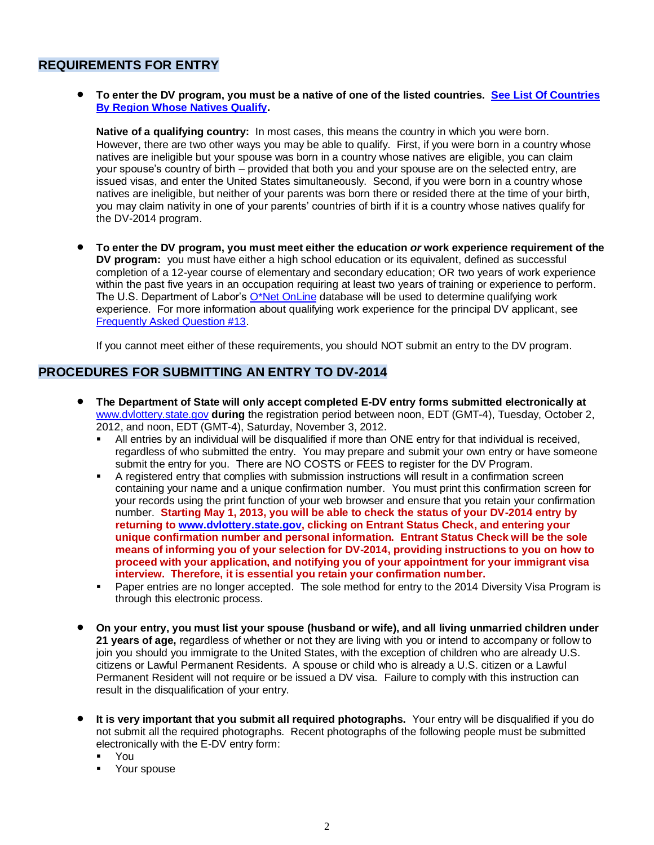## **REQUIREMENTS FOR ENTRY**

 **To enter the DV program, you must be a native of one of the listed countries. [See List Of Countries](#page-13-0)  [By Region Whose Natives Qualify.](#page-13-0)**

**Native of a qualifying country:** In most cases, this means the country in which you were born. However, there are two other ways you may be able to qualify. First, if you were born in a country whose natives are ineligible but your spouse was born in a country whose natives are eligible, you can claim your spouse's country of birth – provided that both you and your spouse are on the selected entry, are issued visas, and enter the United States simultaneously. Second, if you were born in a country whose natives are ineligible, but neither of your parents was born there or resided there at the time of your birth, you may claim nativity in one of your parents' countries of birth if it is a country whose natives qualify for the DV-2014 program.

 **To enter the DV program, you must meet either the education** *or* **work experience requirement of the DV program:** you must have either a high school education or its equivalent, defined as successful completion of a 12-year course of elementary and secondary education; OR two years of work experience within the past five years in an occupation requiring at least two years of training or experience to perform. The U.S. Department of Labor's  $O^*$ Net OnLine database will be used to determine qualifying work experience. For more information about qualifying work experience for the principal DV applicant, see [Frequently Asked Question #13.](#page-9-0)

If you cannot meet either of these requirements, you should NOT submit an entry to the DV program.

## **PROCEDURES FOR SUBMITTING AN ENTRY TO DV-2014**

- **The Department of State will only accept completed E-DV entry forms submitted electronically at**  [www.dvlottery.state.gov](http://www.dvlottery.state.gov/) **during** the registration period between noon, EDT (GMT-4), Tuesday, October 2, 2012, and noon, EDT (GMT-4), Saturday, November 3, 2012.
	- All entries by an individual will be disqualified if more than ONE entry for that individual is received, regardless of who submitted the entry. You may prepare and submit your own entry or have someone submit the entry for you. There are NO COSTS or FEES to register for the DV Program.
	- A registered entry that complies with submission instructions will result in a confirmation screen containing your name and a unique confirmation number. You must print this confirmation screen for your records using the print function of your web browser and ensure that you retain your confirmation number. **Starting May 1, 2013, you will be able to check the status of your DV-2014 entry by returning to [www.dvlottery.state.gov,](http://www.dvlottery.state.gov/) clicking on Entrant Status Check, and entering your unique confirmation number and personal information. Entrant Status Check will be the sole means of informing you of your selection for DV-2014, providing instructions to you on how to proceed with your application, and notifying you of your appointment for your immigrant visa interview. Therefore, it is essential you retain your confirmation number.**
	- **Paper entries are no longer accepted. The sole method for entry to the 2014 Diversity Visa Program is** through this electronic process.
- **On your entry, you must list your spouse (husband or wife), and all living unmarried children under 21 years of age,** regardless of whether or not they are living with you or intend to accompany or follow to join you should you immigrate to the United States, with the exception of children who are already U.S. citizens or Lawful Permanent Residents. A spouse or child who is already a U.S. citizen or a Lawful Permanent Resident will not require or be issued a DV visa. Failure to comply with this instruction can result in the disqualification of your entry.
- **It is very important that you submit all required photographs.** Your entry will be disqualified if you do not submit all the required photographs. Recent photographs of the following people must be submitted electronically with the E-DV entry form:
	- You
	- Your spouse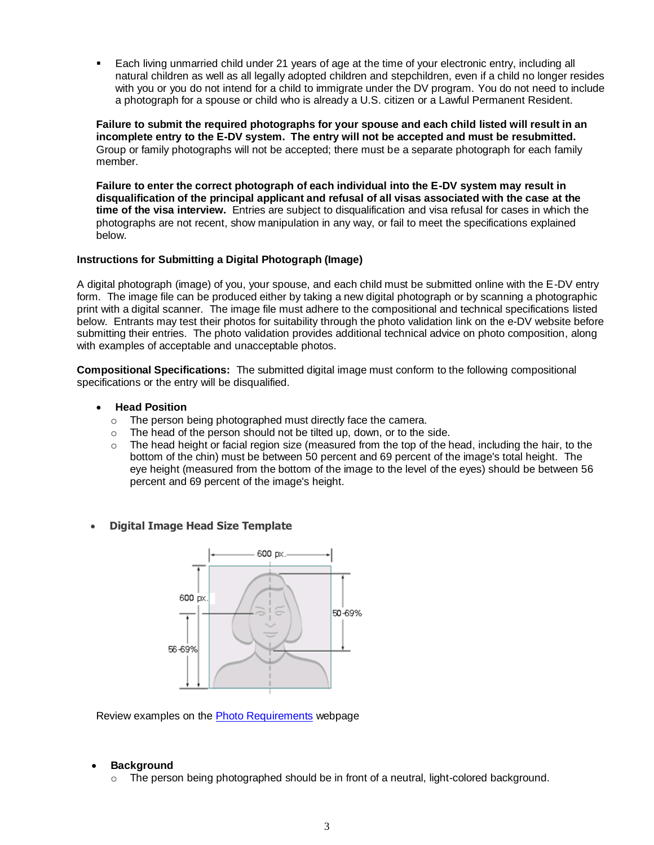Each living unmarried child under 21 years of age at the time of your electronic entry, including all natural children as well as all legally adopted children and stepchildren, even if a child no longer resides with you or you do not intend for a child to immigrate under the DV program. You do not need to include a photograph for a spouse or child who is already a U.S. citizen or a Lawful Permanent Resident.

**Failure to submit the required photographs for your spouse and each child listed will result in an incomplete entry to the E-DV system. The entry will not be accepted and must be resubmitted.**  Group or family photographs will not be accepted; there must be a separate photograph for each family member.

**Failure to enter the correct photograph of each individual into the E-DV system may result in disqualification of the principal applicant and refusal of all visas associated with the case at the time of the visa interview.** Entries are subject to disqualification and visa refusal for cases in which the photographs are not recent, show manipulation in any way, or fail to meet the specifications explained below.

## **Instructions for Submitting a Digital Photograph (Image)**

A digital photograph (image) of you, your spouse, and each child must be submitted online with the E-DV entry form. The image file can be produced either by taking a new digital photograph or by scanning a photographic print with a digital scanner. The image file must adhere to the compositional and technical specifications listed below. Entrants may test their photos for suitability through the photo validation link on the e-DV website before submitting their entries. The photo validation provides additional technical advice on photo composition, along with examples of acceptable and unacceptable photos.

**Compositional Specifications:** The submitted digital image must conform to the following compositional specifications or the entry will be disqualified.

## **Head Position**

- o The person being photographed must directly face the camera.
- o The head of the person should not be tilted up, down, or to the side.
- $\circ$  The head height or facial region size (measured from the top of the head, including the hair, to the bottom of the chin) must be between 50 percent and 69 percent of the image's total height. The eye height (measured from the bottom of the image to the level of the eyes) should be between 56 percent and 69 percent of the image's height.
- **Digital Image Head Size Template**



Review examples on th[e Photo Requirements](http://travel.state.gov/visa/visaphotoreq/photoexamples/photoexamples_5331.html) webpage

#### **Background**

 $\circ$  The person being photographed should be in front of a neutral, light-colored background.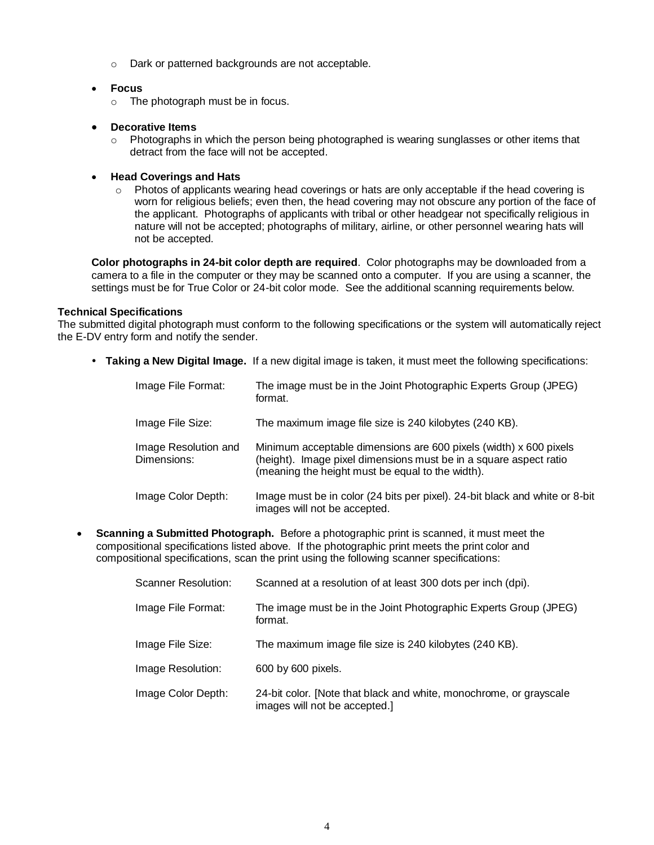o Dark or patterned backgrounds are not acceptable.

## **Focus**

o The photograph must be in focus.

## **Decorative Items**

o Photographs in which the person being photographed is wearing sunglasses or other items that detract from the face will not be accepted.

## **Head Coverings and Hats**

o Photos of applicants wearing head coverings or hats are only acceptable if the head covering is worn for religious beliefs; even then, the head covering may not obscure any portion of the face of the applicant. Photographs of applicants with tribal or other headgear not specifically religious in nature will not be accepted; photographs of military, airline, or other personnel wearing hats will not be accepted.

**Color photographs in 24-bit color depth are required**. Color photographs may be downloaded from a camera to a file in the computer or they may be scanned onto a computer. If you are using a scanner, the settings must be for True Color or 24-bit color mode. See the additional scanning requirements below.

## <span id="page-3-0"></span>**Technical Specifications**

The submitted digital photograph must conform to the following specifications or the system will automatically reject the E-DV entry form and notify the sender.

**Taking a New Digital Image.** If a new digital image is taken, it must meet the following specifications:

| Image File Format:                  | The image must be in the Joint Photographic Experts Group (JPEG)<br>format.                                                                                                                |
|-------------------------------------|--------------------------------------------------------------------------------------------------------------------------------------------------------------------------------------------|
| Image File Size:                    | The maximum image file size is 240 kilobytes (240 KB).                                                                                                                                     |
| Image Resolution and<br>Dimensions: | Minimum acceptable dimensions are 600 pixels (width) x 600 pixels<br>(height). Image pixel dimensions must be in a square aspect ratio<br>(meaning the height must be equal to the width). |
| Image Color Depth:                  | Image must be in color (24 bits per pixel). 24-bit black and white or 8-bit<br>images will not be accepted.                                                                                |

 **Scanning a Submitted Photograph.** Before a photographic print is scanned, it must meet the compositional specifications listed above. If the photographic print meets the print color and compositional specifications, scan the print using the following scanner specifications:

| Scanner Resolution: | Scanned at a resolution of at least 300 dots per inch (dpi).                                        |
|---------------------|-----------------------------------------------------------------------------------------------------|
| Image File Format:  | The image must be in the Joint Photographic Experts Group (JPEG)<br>format.                         |
| Image File Size:    | The maximum image file size is 240 kilobytes (240 KB).                                              |
| Image Resolution:   | 600 by 600 pixels.                                                                                  |
| Image Color Depth:  | 24-bit color. [Note that black and white, monochrome, or grayscale<br>images will not be accepted.] |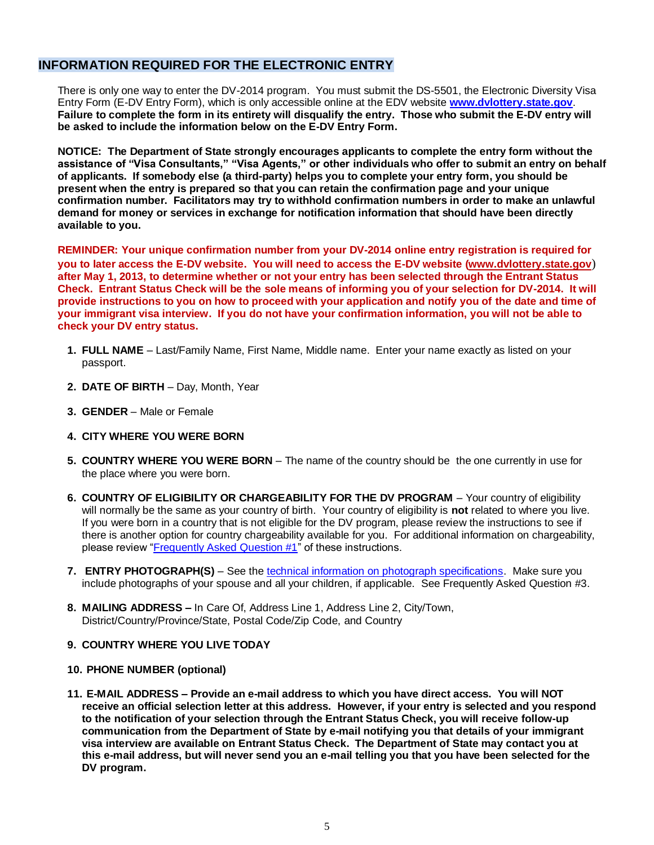## **INFORMATION REQUIRED FOR THE ELECTRONIC ENTRY**

There is only one way to enter the DV-2014 program. You must submit the DS-5501, the Electronic Diversity Visa Entry Form (E-DV Entry Form), which is only accessible online at the EDV website **[www.dvlottery.state.gov](http://www.dvlottery.state.gov/)**. **Failure to complete the form in its entirety will disqualify the entry. Those who submit the E-DV entry will be asked to include the information below on the E-DV Entry Form.**

**NOTICE: The Department of State strongly encourages applicants to complete the entry form without the assistance of "Visa Consultants," "Visa Agents," or other individuals who offer to submit an entry on behalf of applicants. If somebody else (a third-party) helps you to complete your entry form, you should be present when the entry is prepared so that you can retain the confirmation page and your unique confirmation number. Facilitators may try to withhold confirmation numbers in order to make an unlawful demand for money or services in exchange for notification information that should have been directly available to you.** 

**REMINDER: Your unique confirmation number from your DV-2014 online entry registration is required for you to later access the E-DV website. You will need to access the E-DV website [\(www.dvlottery.state.gov](http://www.dvlottery.state.gov/)**) **after May 1, 2013, to determine whether or not your entry has been selected through the Entrant Status Check. Entrant Status Check will be the sole means of informing you of your selection for DV-2014. It will provide instructions to you on how to proceed with your application and notify you of the date and time of your immigrant visa interview. If you do not have your confirmation information, you will not be able to check your DV entry status.**

- **1. FULL NAME** Last/Family Name, First Name, Middle name. Enter your name exactly as listed on your passport.
- **2. DATE OF BIRTH** Day, Month, Year
- **3. GENDER**  Male or Female
- **4. CITY WHERE YOU WERE BORN**
- **5. COUNTRY WHERE YOU WERE BORN** The name of the country should be the one currently in use for the place where you were born.
- **6. COUNTRY OF ELIGIBILITY OR CHARGEABILITY FOR THE DV PROGRAM** Your country of eligibility will normally be the same as your country of birth. Your country of eligibility is **not** related to where you live. If you were born in a country that is not eligible for the DV program, please review the instructions to see if there is another option for country chargeability available for you. For additional information on chargeability, please review ["Frequently Asked Question #1"](#page-6-0) of these instructions.
- **7. ENTRY PHOTOGRAPH(S)** See th[e technical information on photograph specifications.](#page-3-0) Make sure you include photographs of your spouse and all your children, if applicable. See Frequently Asked Question #3.
- **8. MAILING ADDRESS –** In Care Of, Address Line 1, Address Line 2, City/Town, District/Country/Province/State, Postal Code/Zip Code, and Country

## **9. COUNTRY WHERE YOU LIVE TODAY**

- **10. PHONE NUMBER (optional)**
- **11. E-MAIL ADDRESS – Provide an e-mail address to which you have direct access. You will NOT receive an official selection letter at this address. However, if your entry is selected and you respond to the notification of your selection through the Entrant Status Check, you will receive follow-up communication from the Department of State by e-mail notifying you that details of your immigrant visa interview are available on Entrant Status Check. The Department of State may contact you at this e-mail address, but will never send you an e-mail telling you that you have been selected for the DV program.**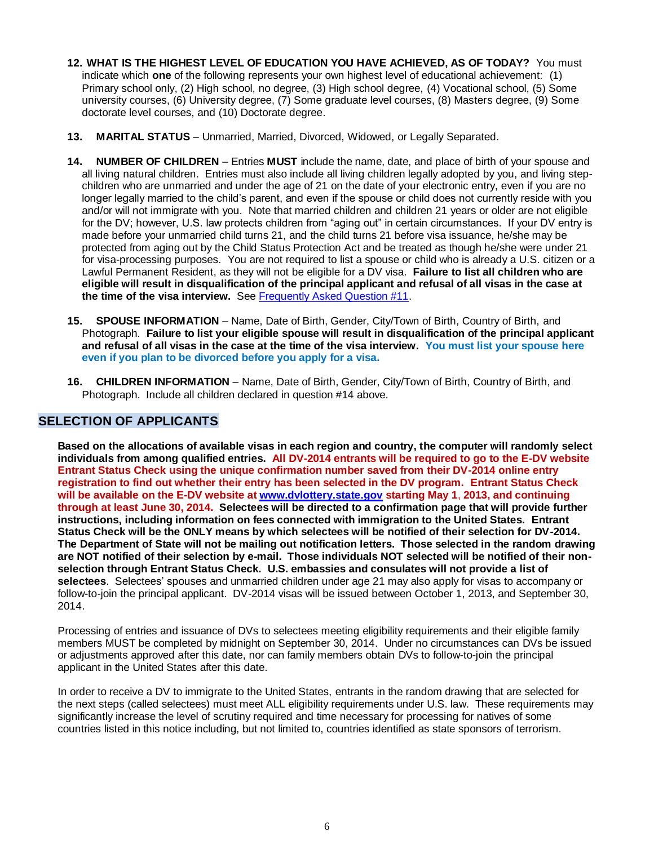- **12. WHAT IS THE HIGHEST LEVEL OF EDUCATION YOU HAVE ACHIEVED, AS OF TODAY?** You must indicate which **one** of the following represents your own highest level of educational achievement: (1) Primary school only, (2) High school, no degree, (3) High school degree, (4) Vocational school, (5) Some university courses, (6) University degree, (7) Some graduate level courses, (8) Masters degree, (9) Some doctorate level courses, and (10) Doctorate degree.
- **13. MARITAL STATUS** Unmarried, Married, Divorced, Widowed, or Legally Separated.
- **14. NUMBER OF CHILDREN** Entries **MUST** include the name, date, and place of birth of your spouse and all living natural children. Entries must also include all living children legally adopted by you, and living stepchildren who are unmarried and under the age of 21 on the date of your electronic entry, even if you are no longer legally married to the child's parent, and even if the spouse or child does not currently reside with you and/or will not immigrate with you. Note that married children and children 21 years or older are not eligible for the DV; however, U.S. law protects children from "aging out" in certain circumstances. If your DV entry is made before your unmarried child turns 21, and the child turns 21 before visa issuance, he/she may be protected from aging out by the Child Status Protection Act and be treated as though he/she were under 21 for visa-processing purposes. You are not required to list a spouse or child who is already a U.S. citizen or a Lawful Permanent Resident, as they will not be eligible for a DV visa. **Failure to list all children who are eligible will result in disqualification of the principal applicant and refusal of all visas in the case at the time of the visa interview.** See [Frequently Asked Question #11.](#page-8-0)
- **15. SPOUSE INFORMATION** Name, Date of Birth, Gender, City/Town of Birth, Country of Birth, and Photograph. **Failure to list your eligible spouse will result in disqualification of the principal applicant and refusal of all visas in the case at the time of the visa interview. You must list your spouse here even if you plan to be divorced before you apply for a visa.**
- **16. CHILDREN INFORMATION** Name, Date of Birth, Gender, City/Town of Birth, Country of Birth, and Photograph. Include all children declared in question #14 above.

## **SELECTION OF APPLICANTS**

**Based on the allocations of available visas in each region and country, the computer will randomly select individuals from among qualified entries. All DV-2014 entrants will be required to go to the E-DV website Entrant Status Check using the unique confirmation number saved from their DV-2014 online entry registration to find out whether their entry has been selected in the DV program. Entrant Status Check will be available on the E-DV website at [www.dvlottery.state.gov](http://www.dvlottery.state.gov/) starting May 1**, **2013, and continuing through at least June 30, 2014. Selectees will be directed to a confirmation page that will provide further instructions, including information on fees connected with immigration to the United States. Entrant Status Check will be the ONLY means by which selectees will be notified of their selection for DV-2014. The Department of State will not be mailing out notification letters. Those selected in the random drawing are NOT notified of their selection by e-mail. Those individuals NOT selected will be notified of their nonselection through Entrant Status Check. U.S. embassies and consulates will not provide a list of selectees**. Selectees' spouses and unmarried children under age 21 may also apply for visas to accompany or follow-to-join the principal applicant. DV-2014 visas will be issued between October 1, 2013, and September 30, 2014.

Processing of entries and issuance of DVs to selectees meeting eligibility requirements and their eligible family members MUST be completed by midnight on September 30, 2014. Under no circumstances can DVs be issued or adjustments approved after this date, nor can family members obtain DVs to follow-to-join the principal applicant in the United States after this date.

In order to receive a DV to immigrate to the United States, entrants in the random drawing that are selected for the next steps (called selectees) must meet ALL eligibility requirements under U.S. law. These requirements may significantly increase the level of scrutiny required and time necessary for processing for natives of some countries listed in this notice including, but not limited to, countries identified as state sponsors of terrorism.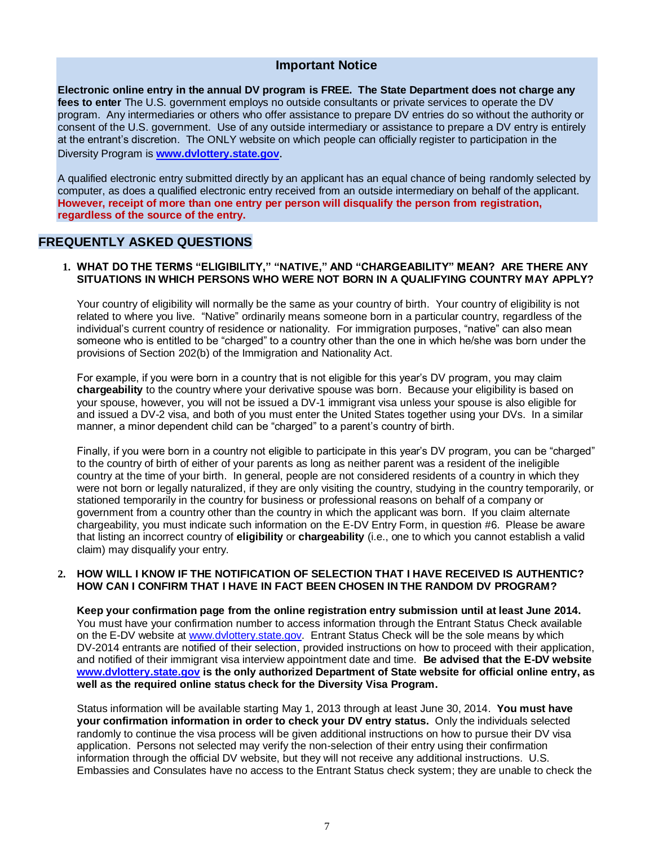## **Important Notice**

**Electronic online entry in the annual DV program is FREE. The State Department does not charge any fees to enter** The U.S. government employs no outside consultants or private services to operate the DV program. Any intermediaries or others who offer assistance to prepare DV entries do so without the authority or consent of the U.S. government. Use of any outside intermediary or assistance to prepare a DV entry is entirely at the entrant's discretion. The ONLY website on which people can officially register to participation in the Diversity Program is **[www.dvlottery.state.gov](http://www.dvlottery.state.gov/)**.

A qualified electronic entry submitted directly by an applicant has an equal chance of being randomly selected by computer, as does a qualified electronic entry received from an outside intermediary on behalf of the applicant. **However, receipt of more than one entry per person will disqualify the person from registration, regardless of the source of the entry.**

## **FREQUENTLY ASKED QUESTIONS**

### <span id="page-6-0"></span>**1. WHAT DO THE TERMS "ELIGIBILITY," "NATIVE," AND "CHARGEABILITY" MEAN? ARE THERE ANY SITUATIONS IN WHICH PERSONS WHO WERE NOT BORN IN A QUALIFYING COUNTRY MAY APPLY?**

Your country of eligibility will normally be the same as your country of birth. Your country of eligibility is not related to where you live. "Native" ordinarily means someone born in a particular country, regardless of the individual's current country of residence or nationality. For immigration purposes, "native" can also mean someone who is entitled to be "charged" to a country other than the one in which he/she was born under the provisions of Section 202(b) of the Immigration and Nationality Act.

For example, if you were born in a country that is not eligible for this year's DV program, you may claim **chargeability** to the country where your derivative spouse was born. Because your eligibility is based on your spouse, however, you will not be issued a DV-1 immigrant visa unless your spouse is also eligible for and issued a DV-2 visa, and both of you must enter the United States together using your DVs. In a similar manner, a minor dependent child can be "charged" to a parent's country of birth.

Finally, if you were born in a country not eligible to participate in this year's DV program, you can be "charged" to the country of birth of either of your parents as long as neither parent was a resident of the ineligible country at the time of your birth. In general, people are not considered residents of a country in which they were not born or legally naturalized, if they are only visiting the country, studying in the country temporarily, or stationed temporarily in the country for business or professional reasons on behalf of a company or government from a country other than the country in which the applicant was born. If you claim alternate chargeability, you must indicate such information on the E-DV Entry Form, in question #6. Please be aware that listing an incorrect country of **eligibility** or **chargeability** (i.e., one to which you cannot establish a valid claim) may disqualify your entry.

#### **2. HOW WILL I KNOW IF THE NOTIFICATION OF SELECTION THAT I HAVE RECEIVED IS AUTHENTIC? HOW CAN I CONFIRM THAT I HAVE IN FACT BEEN CHOSEN IN THE RANDOM DV PROGRAM?**

**Keep your confirmation page from the online registration entry submission until at least June 2014.** You must have your confirmation number to access information through the Entrant Status Check available on the E-DV website at [www.dvlottery.state.gov.](http://www.dvlottery.state.gov/) Entrant Status Check will be the sole means by which DV-2014 entrants are notified of their selection, provided instructions on how to proceed with their application, and notified of their immigrant visa interview appointment date and time. **Be advised that the E-DV website [www.dvlottery.state.gov](http://www.dvlottery.state.gov/) is the only authorized Department of State website for official online entry, as well as the required online status check for the Diversity Visa Program.**

Status information will be available starting May 1, 2013 through at least June 30, 2014. **You must have your confirmation information in order to check your DV entry status.** Only the individuals selected randomly to continue the visa process will be given additional instructions on how to pursue their DV visa application. Persons not selected may verify the non-selection of their entry using their confirmation information through the official DV website, but they will not receive any additional instructions. U.S. Embassies and Consulates have no access to the Entrant Status check system; they are unable to check the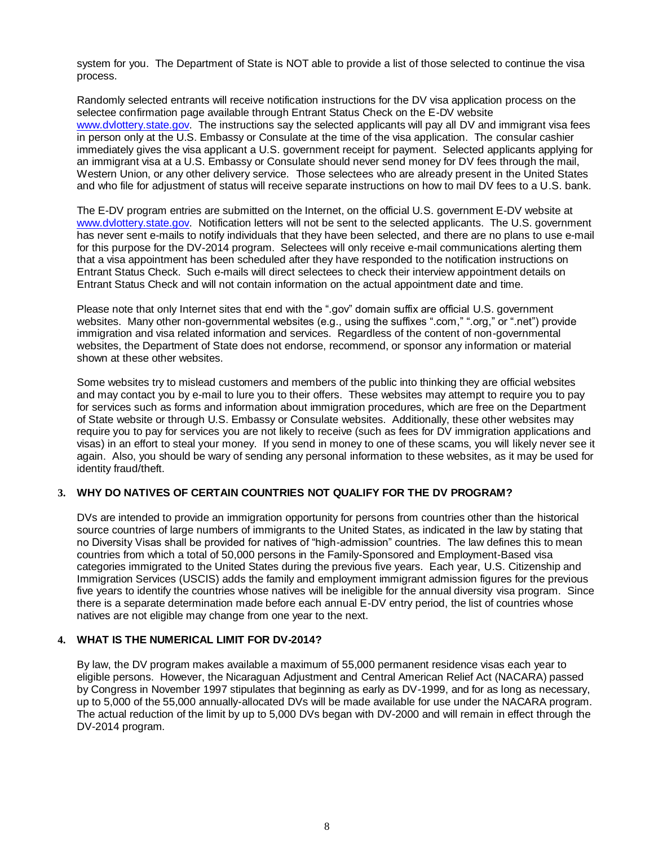system for you. The Department of State is NOT able to provide a list of those selected to continue the visa process.

Randomly selected entrants will receive notification instructions for the DV visa application process on the selectee confirmation page available through Entrant Status Check on the E-DV website [www.dvlottery.state.gov.](http://www.dvlottery.state.gov/) The instructions say the selected applicants will pay all DV and immigrant visa fees in person only at the U.S. Embassy or Consulate at the time of the visa application. The consular cashier immediately gives the visa applicant a U.S. government receipt for payment. Selected applicants applying for an immigrant visa at a U.S. Embassy or Consulate should never send money for DV fees through the mail, Western Union, or any other delivery service. Those selectees who are already present in the United States and who file for adjustment of status will receive separate instructions on how to mail DV fees to a U.S. bank.

The E-DV program entries are submitted on the Internet, on the official U.S. government E-DV website at [www.dvlottery.state.gov.](http://www.dvlottery.state.gov/) Notification letters will not be sent to the selected applicants. The U.S. government has never sent e-mails to notify individuals that they have been selected, and there are no plans to use e-mail for this purpose for the DV-2014 program. Selectees will only receive e-mail communications alerting them that a visa appointment has been scheduled after they have responded to the notification instructions on Entrant Status Check. Such e-mails will direct selectees to check their interview appointment details on Entrant Status Check and will not contain information on the actual appointment date and time.

Please note that only Internet sites that end with the ".gov" domain suffix are official U.S. government websites. Many other non-governmental websites (e.g., using the suffixes ".com," ".org," or ".net") provide immigration and visa related information and services. Regardless of the content of non-governmental websites, the Department of State does not endorse, recommend, or sponsor any information or material shown at these other websites.

Some websites try to mislead customers and members of the public into thinking they are official websites and may contact you by e-mail to lure you to their offers. These websites may attempt to require you to pay for services such as forms and information about immigration procedures, which are free on the Department of State website or through U.S. Embassy or Consulate websites. Additionally, these other websites may require you to pay for services you are not likely to receive (such as fees for DV immigration applications and visas) in an effort to steal your money. If you send in money to one of these scams, you will likely never see it again. Also, you should be wary of sending any personal information to these websites, as it may be used for identity fraud/theft.

## **3. WHY DO NATIVES OF CERTAIN COUNTRIES NOT QUALIFY FOR THE DV PROGRAM?**

DVs are intended to provide an immigration opportunity for persons from countries other than the historical source countries of large numbers of immigrants to the United States, as indicated in the law by stating that no Diversity Visas shall be provided for natives of "high-admission" countries. The law defines this to mean countries from which a total of 50,000 persons in the Family-Sponsored and Employment-Based visa categories immigrated to the United States during the previous five years. Each year, U.S. Citizenship and Immigration Services (USCIS) adds the family and employment immigrant admission figures for the previous five years to identify the countries whose natives will be ineligible for the annual diversity visa program. Since there is a separate determination made before each annual E-DV entry period, the list of countries whose natives are not eligible may change from one year to the next.

#### **4. WHAT IS THE NUMERICAL LIMIT FOR DV-2014?**

By law, the DV program makes available a maximum of 55,000 permanent residence visas each year to eligible persons. However, the Nicaraguan Adjustment and Central American Relief Act (NACARA) passed by Congress in November 1997 stipulates that beginning as early as DV-1999, and for as long as necessary, up to 5,000 of the 55,000 annually-allocated DVs will be made available for use under the NACARA program. The actual reduction of the limit by up to 5,000 DVs began with DV-2000 and will remain in effect through the DV-2014 program.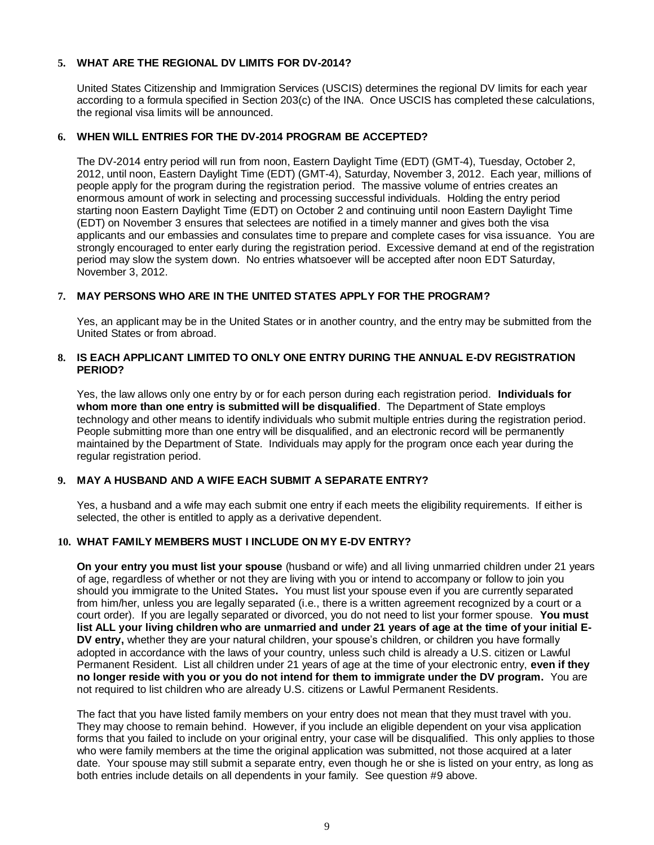## **5. WHAT ARE THE REGIONAL DV LIMITS FOR DV-2014?**

United States Citizenship and Immigration Services (USCIS) determines the regional DV limits for each year according to a formula specified in Section 203(c) of the INA. Once USCIS has completed these calculations, the regional visa limits will be announced.

## **6. WHEN WILL ENTRIES FOR THE DV-2014 PROGRAM BE ACCEPTED?**

The DV-2014 entry period will run from noon, Eastern Daylight Time (EDT) (GMT-4), Tuesday, October 2, 2012, until noon, Eastern Daylight Time (EDT) (GMT-4), Saturday, November 3, 2012. Each year, millions of people apply for the program during the registration period. The massive volume of entries creates an enormous amount of work in selecting and processing successful individuals. Holding the entry period starting noon Eastern Daylight Time (EDT) on October 2 and continuing until noon Eastern Daylight Time (EDT) on November 3 ensures that selectees are notified in a timely manner and gives both the visa applicants and our embassies and consulates time to prepare and complete cases for visa issuance. You are strongly encouraged to enter early during the registration period. Excessive demand at end of the registration period may slow the system down. No entries whatsoever will be accepted after noon EDT Saturday, November 3, 2012.

## **7. MAY PERSONS WHO ARE IN THE UNITED STATES APPLY FOR THE PROGRAM?**

Yes, an applicant may be in the United States or in another country, and the entry may be submitted from the United States or from abroad.

### **8. IS EACH APPLICANT LIMITED TO ONLY ONE ENTRY DURING THE ANNUAL E-DV REGISTRATION PERIOD?**

Yes, the law allows only one entry by or for each person during each registration period. **Individuals for whom more than one entry is submitted will be disqualified**. The Department of State employs technology and other means to identify individuals who submit multiple entries during the registration period. People submitting more than one entry will be disqualified, and an electronic record will be permanently maintained by the Department of State. Individuals may apply for the program once each year during the regular registration period.

#### **9. MAY A HUSBAND AND A WIFE EACH SUBMIT A SEPARATE ENTRY?**

Yes, a husband and a wife may each submit one entry if each meets the eligibility requirements. If either is selected, the other is entitled to apply as a derivative dependent.

## <span id="page-8-0"></span>**10. WHAT FAMILY MEMBERS MUST I INCLUDE ON MY E-DV ENTRY?**

**On your entry you must list your spouse** (husband or wife) and all living unmarried children under 21 years of age, regardless of whether or not they are living with you or intend to accompany or follow to join you should you immigrate to the United States**.** You must list your spouse even if you are currently separated from him/her, unless you are legally separated (i.e., there is a written agreement recognized by a court or a court order). If you are legally separated or divorced, you do not need to list your former spouse. **You must list ALL your living children who are unmarried and under 21 years of age at the time of your initial E-DV entry,** whether they are your natural children, your spouse's children, or children you have formally adopted in accordance with the laws of your country, unless such child is already a U.S. citizen or Lawful Permanent Resident. List all children under 21 years of age at the time of your electronic entry, **even if they no longer reside with you or you do not intend for them to immigrate under the DV program.** You are not required to list children who are already U.S. citizens or Lawful Permanent Residents.

The fact that you have listed family members on your entry does not mean that they must travel with you. They may choose to remain behind. However, if you include an eligible dependent on your visa application forms that you failed to include on your original entry, your case will be disqualified. This only applies to those who were family members at the time the original application was submitted, not those acquired at a later date. Your spouse may still submit a separate entry, even though he or she is listed on your entry, as long as both entries include details on all dependents in your family. See question #9 above.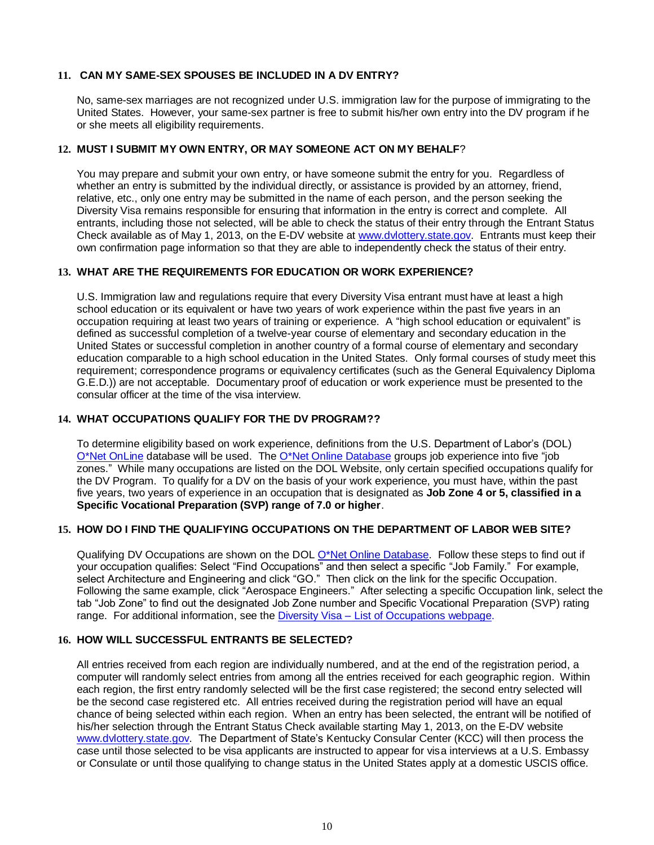## **11. CAN MY SAME-SEX SPOUSES BE INCLUDED IN A DV ENTRY?**

No, same-sex marriages are not recognized under U.S. immigration law for the purpose of immigrating to the United States. However, your same-sex partner is free to submit his/her own entry into the DV program if he or she meets all eligibility requirements.

## **12. MUST I SUBMIT MY OWN ENTRY, OR MAY SOMEONE ACT ON MY BEHALF**?

You may prepare and submit your own entry, or have someone submit the entry for you. Regardless of whether an entry is submitted by the individual directly, or assistance is provided by an attorney, friend, relative, etc., only one entry may be submitted in the name of each person, and the person seeking the Diversity Visa remains responsible for ensuring that information in the entry is correct and complete. All entrants, including those not selected, will be able to check the status of their entry through the Entrant Status Check available as of May 1, 2013, on the E-DV website at [www.dvlottery.state.gov.](http://www.dvlottery.state.gov/) Entrants must keep their own confirmation page information so that they are able to independently check the status of their entry.

## <span id="page-9-0"></span>**13. WHAT ARE THE REQUIREMENTS FOR EDUCATION OR WORK EXPERIENCE?**

U.S. Immigration law and regulations require that every Diversity Visa entrant must have at least a high school education or its equivalent or have two years of work experience within the past five years in an occupation requiring at least two years of training or experience. A "high school education or equivalent" is defined as successful completion of a twelve-year course of elementary and secondary education in the United States or successful completion in another country of a formal course of elementary and secondary education comparable to a high school education in the United States. Only formal courses of study meet this requirement; correspondence programs or equivalency certificates (such as the General Equivalency Diploma G.E.D.)) are not acceptable. Documentary proof of education or work experience must be presented to the consular officer at the time of the visa interview.

## **14. WHAT OCCUPATIONS QUALIFY FOR THE DV PROGRAM??**

To determine eligibility based on work experience, definitions from the U.S. Department of Labor's (DOL) [O\\*Net OnLine](http://online.onetcenter.org/) database will be used. Th[e O\\*Net Online Database](http://online.onetcenter.org/) groups job experience into five "job zones." While many occupations are listed on the DOL Website, only certain specified occupations qualify for the DV Program. To qualify for a DV on the basis of your work experience, you must have, within the past five years, two years of experience in an occupation that is designated as **Job Zone 4 or 5, classified in a Specific Vocational Preparation (SVP) range of 7.0 or higher**.

#### **15. HOW DO I FIND THE QUALIFYING OCCUPATIONS ON THE DEPARTMENT OF LABOR WEB SITE?**

Qualifying DV Occupations are shown on the DOL [O\\*Net Online Database.](http://online.onetcenter.org/) Follow these steps to find out if your occupation qualifies: Select "Find Occupations" and then select a specific "Job Family." For example, select Architecture and Engineering and click "GO." Then click on the link for the specific Occupation. Following the same example, click "Aerospace Engineers." After selecting a specific Occupation link, select the tab "Job Zone" to find out the designated Job Zone number and Specific Vocational Preparation (SVP) rating range. For additional information, see the Diversity Visa – [List of Occupations](http://travel.state.gov/visa/immigrants/types/types_1319.html) webpage.

## **16. HOW WILL SUCCESSFUL ENTRANTS BE SELECTED?**

All entries received from each region are individually numbered, and at the end of the registration period, a computer will randomly select entries from among all the entries received for each geographic region. Within each region, the first entry randomly selected will be the first case registered; the second entry selected will be the second case registered etc. All entries received during the registration period will have an equal chance of being selected within each region. When an entry has been selected, the entrant will be notified of his/her selection through the Entrant Status Check available starting May 1, 2013, on the E-DV website [www.dvlottery.state.gov.](http://www.dvlottery.state.gov/) The Department of State's Kentucky Consular Center (KCC) will then process the case until those selected to be visa applicants are instructed to appear for visa interviews at a U.S. Embassy or Consulate or until those qualifying to change status in the United States apply at a domestic USCIS office.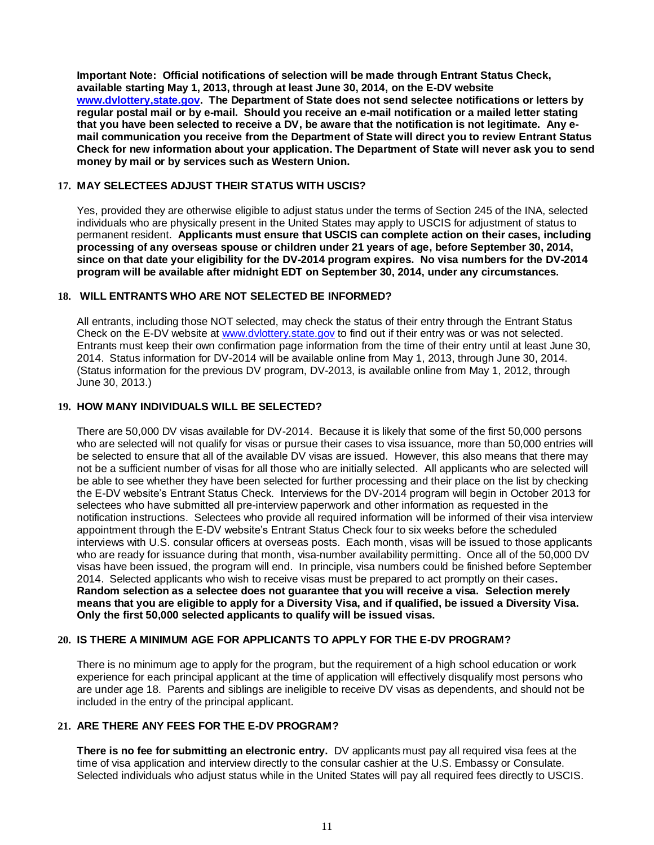**Important Note: Official notifications of selection will be made through Entrant Status Check, available starting May 1, 2013, through at least June 30, 2014, on the E-DV website [www.dvlottery,state.gov.](http://www.dvlottery,state.gov/) The Department of State does not send selectee notifications or letters by regular postal mail or by e-mail. Should you receive an e-mail notification or a mailed letter stating that you have been selected to receive a DV, be aware that the notification is not legitimate. Any email communication you receive from the Department of State will direct you to review Entrant Status Check for new information about your application. The Department of State will never ask you to send money by mail or by services such as Western Union.**

### **17. MAY SELECTEES ADJUST THEIR STATUS WITH USCIS?**

Yes, provided they are otherwise eligible to adjust status under the terms of Section 245 of the INA, selected individuals who are physically present in the United States may apply to USCIS for adjustment of status to permanent resident. **Applicants must ensure that USCIS can complete action on their cases, including processing of any overseas spouse or children under 21 years of age, before September 30, 2014, since on that date your eligibility for the DV-2014 program expires. No visa numbers for the DV-2014 program will be available after midnight EDT on September 30, 2014, under any circumstances.**

## **18. WILL ENTRANTS WHO ARE NOT SELECTED BE INFORMED?**

All entrants, including those NOT selected, may check the status of their entry through the Entrant Status Check on the E-DV website at [www.dvlottery.state.gov](http://www.dvlottery.state.gov/) to find out if their entry was or was not selected. Entrants must keep their own confirmation page information from the time of their entry until at least June 30, 2014. Status information for DV-2014 will be available online from May 1, 2013, through June 30, 2014. (Status information for the previous DV program, DV-2013, is available online from May 1, 2012, through June 30, 2013.)

## **19. HOW MANY INDIVIDUALS WILL BE SELECTED?**

There are 50,000 DV visas available for DV-2014. Because it is likely that some of the first 50,000 persons who are selected will not qualify for visas or pursue their cases to visa issuance, more than 50,000 entries will be selected to ensure that all of the available DV visas are issued. However, this also means that there may not be a sufficient number of visas for all those who are initially selected. All applicants who are selected will be able to see whether they have been selected for further processing and their place on the list by checking the E-DV website's Entrant Status Check. Interviews for the DV-2014 program will begin in October 2013 for selectees who have submitted all pre-interview paperwork and other information as requested in the notification instructions. Selectees who provide all required information will be informed of their visa interview appointment through the E-DV website's Entrant Status Check four to six weeks before the scheduled interviews with U.S. consular officers at overseas posts. Each month, visas will be issued to those applicants who are ready for issuance during that month, visa-number availability permitting. Once all of the 50,000 DV visas have been issued, the program will end. In principle, visa numbers could be finished before September 2014. Selected applicants who wish to receive visas must be prepared to act promptly on their cases**. Random selection as a selectee does not guarantee that you will receive a visa. Selection merely means that you are eligible to apply for a Diversity Visa, and if qualified, be issued a Diversity Visa. Only the first 50,000 selected applicants to qualify will be issued visas.** 

#### **20. IS THERE A MINIMUM AGE FOR APPLICANTS TO APPLY FOR THE E-DV PROGRAM?**

There is no minimum age to apply for the program, but the requirement of a high school education or work experience for each principal applicant at the time of application will effectively disqualify most persons who are under age 18. Parents and siblings are ineligible to receive DV visas as dependents, and should not be included in the entry of the principal applicant.

#### **21. ARE THERE ANY FEES FOR THE E-DV PROGRAM?**

**There is no fee for submitting an electronic entry.** DV applicants must pay all required visa fees at the time of visa application and interview directly to the consular cashier at the U.S. Embassy or Consulate. Selected individuals who adjust status while in the United States will pay all required fees directly to USCIS.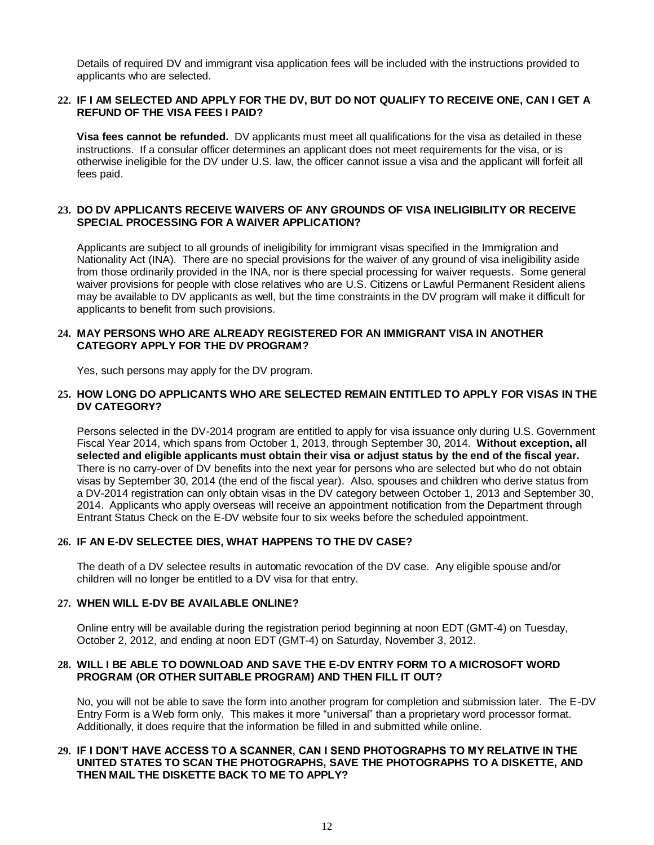Details of required DV and immigrant visa application fees will be included with the instructions provided to applicants who are selected.

#### **22. IF I AM SELECTED AND APPLY FOR THE DV, BUT DO NOT QUALIFY TO RECEIVE ONE, CAN I GET A REFUND OF THE VISA FEES I PAID?**

**Visa fees cannot be refunded.** DV applicants must meet all qualifications for the visa as detailed in these instructions. If a consular officer determines an applicant does not meet requirements for the visa, or is otherwise ineligible for the DV under U.S. law, the officer cannot issue a visa and the applicant will forfeit all fees paid.

#### **23. DO DV APPLICANTS RECEIVE WAIVERS OF ANY GROUNDS OF VISA INELIGIBILITY OR RECEIVE SPECIAL PROCESSING FOR A WAIVER APPLICATION?**

Applicants are subject to all grounds of ineligibility for immigrant visas specified in the Immigration and Nationality Act (INA). There are no special provisions for the waiver of any ground of visa ineligibility aside from those ordinarily provided in the INA, nor is there special processing for waiver requests. Some general waiver provisions for people with close relatives who are U.S. Citizens or Lawful Permanent Resident aliens may be available to DV applicants as well, but the time constraints in the DV program will make it difficult for applicants to benefit from such provisions.

## **24. MAY PERSONS WHO ARE ALREADY REGISTERED FOR AN IMMIGRANT VISA IN ANOTHER CATEGORY APPLY FOR THE DV PROGRAM?**

Yes, such persons may apply for the DV program.

### **25. HOW LONG DO APPLICANTS WHO ARE SELECTED REMAIN ENTITLED TO APPLY FOR VISAS IN THE DV CATEGORY?**

Persons selected in the DV-2014 program are entitled to apply for visa issuance only during U.S. Government Fiscal Year 2014, which spans from October 1, 2013, through September 30, 2014. **Without exception, all selected and eligible applicants must obtain their visa or adjust status by the end of the fiscal year.** There is no carry-over of DV benefits into the next year for persons who are selected but who do not obtain visas by September 30, 2014 (the end of the fiscal year). Also, spouses and children who derive status from a DV-2014 registration can only obtain visas in the DV category between October 1, 2013 and September 30, 2014. Applicants who apply overseas will receive an appointment notification from the Department through Entrant Status Check on the E-DV website four to six weeks before the scheduled appointment.

## **26. IF AN E-DV SELECTEE DIES, WHAT HAPPENS TO THE DV CASE?**

The death of a DV selectee results in automatic revocation of the DV case. Any eligible spouse and/or children will no longer be entitled to a DV visa for that entry.

#### **27. WHEN WILL E-DV BE AVAILABLE ONLINE?**

Online entry will be available during the registration period beginning at noon EDT (GMT-4) on Tuesday, October 2, 2012, and ending at noon EDT (GMT-4) on Saturday, November 3, 2012.

#### **28. WILL I BE ABLE TO DOWNLOAD AND SAVE THE E-DV ENTRY FORM TO A MICROSOFT WORD PROGRAM (OR OTHER SUITABLE PROGRAM) AND THEN FILL IT OUT?**

No, you will not be able to save the form into another program for completion and submission later. The E-DV Entry Form is a Web form only. This makes it more "universal" than a proprietary word processor format. Additionally, it does require that the information be filled in and submitted while online.

#### **29. IF I DON'T HAVE ACCESS TO A SCANNER, CAN I SEND PHOTOGRAPHS TO MY RELATIVE IN THE UNITED STATES TO SCAN THE PHOTOGRAPHS, SAVE THE PHOTOGRAPHS TO A DISKETTE, AND THEN MAIL THE DISKETTE BACK TO ME TO APPLY?**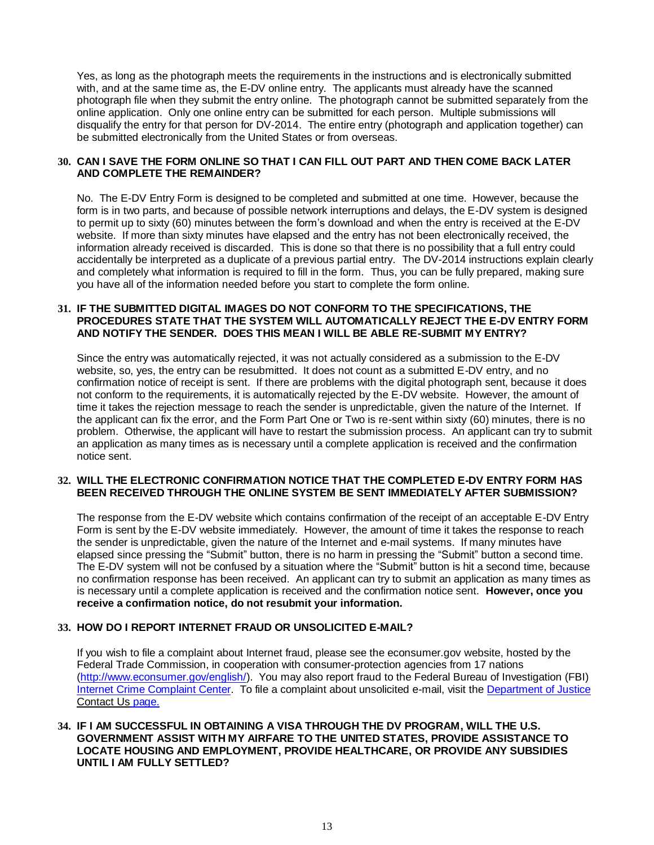Yes, as long as the photograph meets the requirements in the instructions and is electronically submitted with, and at the same time as, the E-DV online entry. The applicants must already have the scanned photograph file when they submit the entry online. The photograph cannot be submitted separately from the online application. Only one online entry can be submitted for each person. Multiple submissions will disqualify the entry for that person for DV-2014. The entire entry (photograph and application together) can be submitted electronically from the United States or from overseas.

#### **30. CAN I SAVE THE FORM ONLINE SO THAT I CAN FILL OUT PART AND THEN COME BACK LATER AND COMPLETE THE REMAINDER?**

No. The E-DV Entry Form is designed to be completed and submitted at one time. However, because the form is in two parts, and because of possible network interruptions and delays, the E-DV system is designed to permit up to sixty (60) minutes between the form's download and when the entry is received at the E-DV website. If more than sixty minutes have elapsed and the entry has not been electronically received, the information already received is discarded. This is done so that there is no possibility that a full entry could accidentally be interpreted as a duplicate of a previous partial entry. The DV-2014 instructions explain clearly and completely what information is required to fill in the form. Thus, you can be fully prepared, making sure you have all of the information needed before you start to complete the form online.

## **31. IF THE SUBMITTED DIGITAL IMAGES DO NOT CONFORM TO THE SPECIFICATIONS, THE PROCEDURES STATE THAT THE SYSTEM WILL AUTOMATICALLY REJECT THE E-DV ENTRY FORM AND NOTIFY THE SENDER. DOES THIS MEAN I WILL BE ABLE RE-SUBMIT MY ENTRY?**

Since the entry was automatically rejected, it was not actually considered as a submission to the E-DV website, so, yes, the entry can be resubmitted. It does not count as a submitted E-DV entry, and no confirmation notice of receipt is sent. If there are problems with the digital photograph sent, because it does not conform to the requirements, it is automatically rejected by the E-DV website. However, the amount of time it takes the rejection message to reach the sender is unpredictable, given the nature of the Internet. If the applicant can fix the error, and the Form Part One or Two is re-sent within sixty (60) minutes, there is no problem. Otherwise, the applicant will have to restart the submission process. An applicant can try to submit an application as many times as is necessary until a complete application is received and the confirmation notice sent.

#### **32. WILL THE ELECTRONIC CONFIRMATION NOTICE THAT THE COMPLETED E-DV ENTRY FORM HAS BEEN RECEIVED THROUGH THE ONLINE SYSTEM BE SENT IMMEDIATELY AFTER SUBMISSION?**

The response from the E-DV website which contains confirmation of the receipt of an acceptable E-DV Entry Form is sent by the E-DV website immediately. However, the amount of time it takes the response to reach the sender is unpredictable, given the nature of the Internet and e-mail systems. If many minutes have elapsed since pressing the "Submit" button, there is no harm in pressing the "Submit" button a second time. The E-DV system will not be confused by a situation where the "Submit" button is hit a second time, because no confirmation response has been received. An applicant can try to submit an application as many times as is necessary until a complete application is received and the confirmation notice sent. **However, once you receive a confirmation notice, do not resubmit your information.**

## **33. HOW DO I REPORT INTERNET FRAUD OR UNSOLICITED E-MAIL?**

If you wish to file a complaint about Internet fraud, please see the econsumer.gov website, hosted by the Federal Trade Commission, in cooperation with consumer-protection agencies from 17 nations [\(http://www.econsumer.gov/english/\)](http://www.econsumer.gov/english/). You may also report fraud to the Federal Bureau of Investigation (FBI) [Internet Crime Complaint Center.](http://www.ic3.gov/) To file a complaint about unsolicited e-mail, visit the [Department of Justice](http://www.usdoj.gov/spam.htm)  [Contact Us](http://www.usdoj.gov/spam.htm) page.

#### **34. IF I AM SUCCESSFUL IN OBTAINING A VISA THROUGH THE DV PROGRAM, WILL THE U.S. GOVERNMENT ASSIST WITH MY AIRFARE TO THE UNITED STATES, PROVIDE ASSISTANCE TO LOCATE HOUSING AND EMPLOYMENT, PROVIDE HEALTHCARE, OR PROVIDE ANY SUBSIDIES UNTIL I AM FULLY SETTLED?**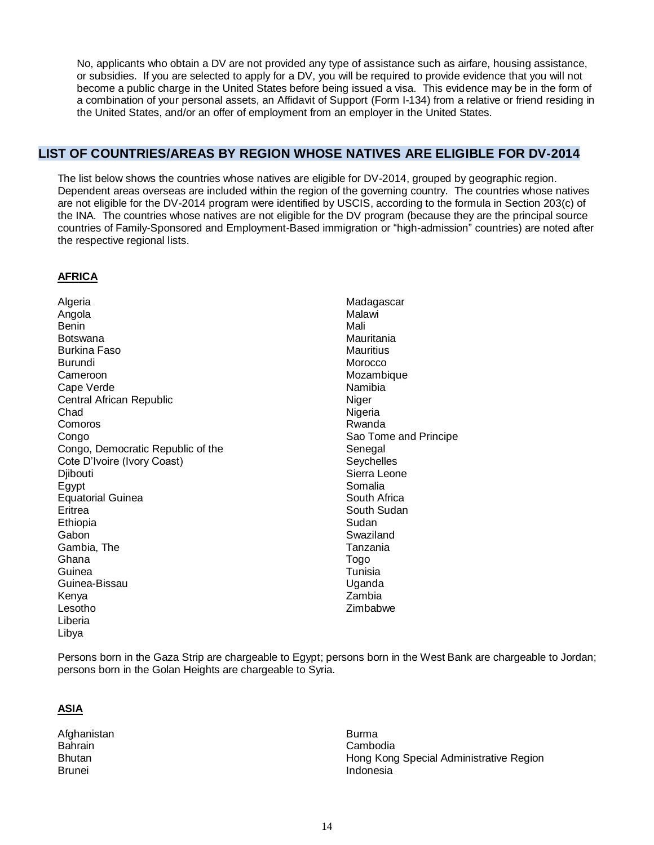No, applicants who obtain a DV are not provided any type of assistance such as airfare, housing assistance, or subsidies. If you are selected to apply for a DV, you will be required to provide evidence that you will not become a public charge in the United States before being issued a visa. This evidence may be in the form of a combination of your personal assets, an Affidavit of Support (Form I-134) from a relative or friend residing in the United States, and/or an offer of employment from an employer in the United States.

## <span id="page-13-0"></span>**LIST OF COUNTRIES/AREAS BY REGION WHOSE NATIVES ARE ELIGIBLE FOR DV-2014**

The list below shows the countries whose natives are eligible for DV-2014, grouped by geographic region. Dependent areas overseas are included within the region of the governing country. The countries whose natives are not eligible for the DV-2014 program were identified by USCIS, according to the formula in Section 203(c) of the INA. The countries whose natives are not eligible for the DV program (because they are the principal source countries of Family-Sponsored and Employment-Based immigration or "high-admission" countries) are noted after the respective regional lists.

## **AFRICA**

**Algeria** Angola Benin Botswana Burkina Faso Burundi Cameroon Cape Verde Central African Republic Chad Comoros Congo Congo, Democratic Republic of the Cote D'Ivoire (Ivory Coast) **Diibouti** Egypt Equatorial Guinea **Eritrea** Ethiopia Gabon Gambia, The Ghana Guinea Guinea-Bissau Kenya Lesotho Liberia Libya

Madagascar Malawi Mali Mauritania **Mauritius Morocco** Mozambique Namibia Niger **Nigeria** Rwanda Sao Tome and Principe **Senegal Sevchelles** Sierra Leone Somalia South Africa South Sudan Sudan Swaziland Tanzania Togo Tunisia Uganda Zambia Zimbabwe

Persons born in the Gaza Strip are chargeable to Egypt; persons born in the West Bank are chargeable to Jordan; persons born in the Golan Heights are chargeable to Syria.

## **ASIA**

Afghanistan **Bahrain Bhutan** Brunei

Burma Cambodia Hong Kong Special Administrative Region Indonesia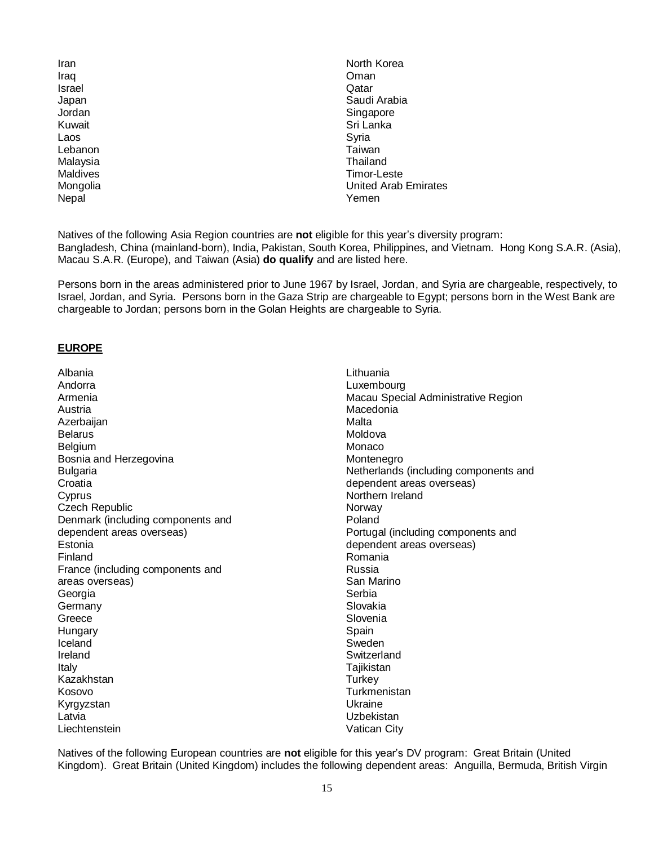| North Korea          |
|----------------------|
| Oman                 |
| Qatar                |
| Saudi Arabia         |
| Singapore            |
| Sri Lanka            |
| Syria                |
| Taiwan               |
| Thailand             |
| Timor-Leste          |
| United Arab Emirates |
| Yemen                |
|                      |

Natives of the following Asia Region countries are **not** eligible for this year's diversity program: Bangladesh, China (mainland-born), India, Pakistan, South Korea, Philippines, and Vietnam. Hong Kong S.A.R. (Asia), Macau S.A.R. (Europe), and Taiwan (Asia) **do qualify** and are listed here.

Persons born in the areas administered prior to June 1967 by Israel, Jordan, and Syria are chargeable, respectively, to Israel, Jordan, and Syria. Persons born in the Gaza Strip are chargeable to Egypt; persons born in the West Bank are chargeable to Jordan; persons born in the Golan Heights are chargeable to Syria.

#### **EUROPE**

Albania Andorra Armenia Austria Azerbaijan **Belarus** Belgium Bosnia and Herzegovina Bulgaria **Croatia C**vprus Czech Republic Denmark (including components and dependent areas overseas) Estonia Finland France (including components and areas overseas) Georgia Germany Greece **Hungary** Iceland Ireland Italy Kazakhstan Kosovo Kyrgyzstan Latvia **Liechtenstein** 

Lithuania Luxembourg Macau Special Administrative Region Macedonia Malta Moldova Monaco Montenegro Netherlands (including components and dependent areas overseas) Northern Ireland **Norway** Poland Portugal (including components and dependent areas overseas) Romania Russia San Marino Serbia Slovakia Slovenia **Spain** Sweden Switzerland **Tajikistan Turkey Turkmenistan** Ukraine Uzbekistan Vatican City

Natives of the following European countries are **not** eligible for this year's DV program: Great Britain (United Kingdom). Great Britain (United Kingdom) includes the following dependent areas: Anguilla, Bermuda, British Virgin